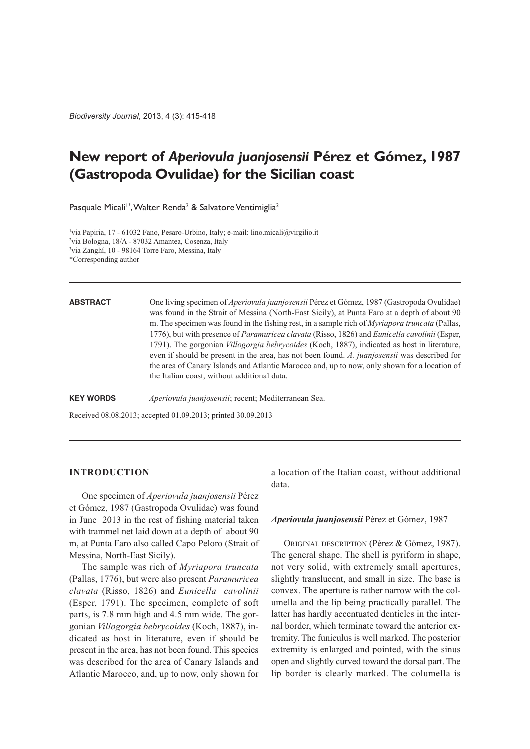*Biodiversity Journal*, 2013, 4 (3): 415-418

# **New report of** *Aperiovula juanjosensii* **Pérez et Gómez, 1987 (Gastropoda Ovulidae) for the Sicilian coast**

Pasquale Micali<sup>1\*</sup>, Walter Renda<sup>2</sup> & Salvatore Ventimiglia<sup>3</sup>

1 via Papiria, 17 - 61032 Fano, Pesaro-Urbino, Italy; e-mail: lino.micali@virgilio.it 2 via Bologna, 18/A - 87032 Amantea, Cosenza, Italy 3 via Zanghí, 10 - 98164 Torre Faro, Messina, Italy

\*Corresponding author

**ABSTRACT** One living specimen of *Aperiovula juanjosensii* Pérez et Gómez, 1987 (Gastropoda Ovulidae) was found in the Strait of Messina (North-East Sicily), at Punta Faro at a depth of about 90 m. The specimen was found in the fishing rest, in a sample rich of *Myriapora truncata* (Pallas, 1776), but with presence of *Paramuricea clavata* (Risso, 1826) and *Eunicella cavolinii* (Esper, 1791). The gorgonian *Villogorgia bebrycoides* (Koch, 1887), indicated as host in literature, even if should be present in the area, has not been found. *A. juanjosensii* was described for the area of Canary Islands and Atlantic Marocco and, up to now, only shown for a location of the Italian coast, without additional data.

**KEY WORDS** *Aperiovula juanjosensii*; recent; Mediterranean Sea.

Received 08.08.2013; accepted 01.09.2013; printed 30.09.2013

# **INTRODUCTION**

One specimen of *Aperiovula juanjosensii* Pérez et Gómez, 1987 (Gastropoda Ovulidae) was found in June 2013 in the rest of fishing material taken with trammel net laid down at a depth of about 90 m, at Punta Faro also called Capo Peloro (Strait of Messina, North-East Sicily).

The sample was rich of *Myriapora truncata* (Pallas, 1776), but were also present *Paramuricea clavata* (Risso, 1826) and *Eunicella cavolinii* (Esper, 1791). The specimen, complete of soft parts, is 7.8 mm high and 4.5 mm wide. The gorgonian *Villogorgia bebrycoides* (Koch, 1887), indicated as host in literature, even if should be present in the area, has not been found. This species was described for the area of Canary Islands and Atlantic Marocco, and, up to now, only shown for a location of the Italian coast, without additional data.

### *Aperiovula juanjosensii* Pérez et Gómez, 1987

ORIGINAL DESCRIPTION (Pérez & Gómez, 1987). The general shape. The shell is pyriform in shape, not very solid, with extremely small apertures, slightly translucent, and small in size. The base is convex. The aperture is rather narrow with the columella and the lip being practically parallel. The latter has hardly accentuated denticles in the internal border, which terminate toward the anterior extremity. The funiculus is well marked. The posterior extremity is enlarged and pointed, with the sinus open and slightly curved toward the dorsal part. The lip border is clearly marked. The columella is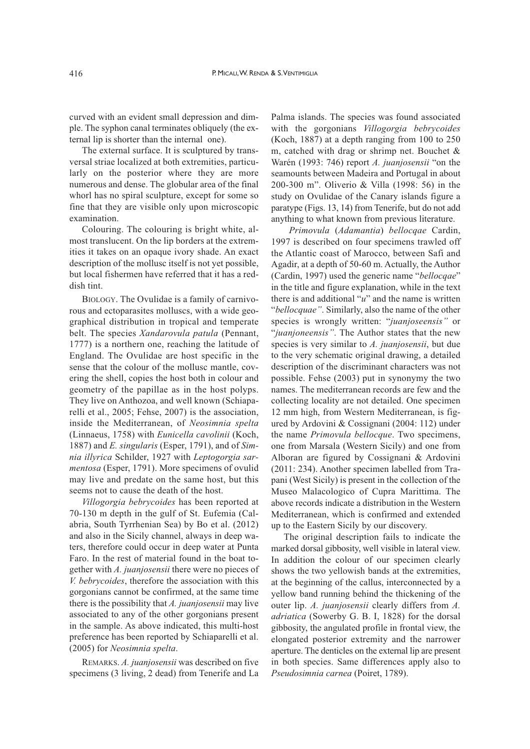curved with an evident small depression and dimple. The syphon canal terminates obliquely (the external lip is shorter than the internal one).

The external surface. It is sculptured by transversal striae localized at both extremities, particularly on the posterior where they are more numerous and dense. The globular area of the final whorl has no spiral sculpture, except for some so fine that they are visible only upon microscopic examination.

Colouring. The colouring is bright white, almost translucent. On the lip borders at the extremities it takes on an opaque ivory shade. An exact description of the mollusc itself is not yet possible, but local fishermen have referred that it has a reddish tint.

BIOLOGY. The Ovulidae is a family of carnivorous and ectoparasites molluscs, with a wide geographical distribution in tropical and temperate belt. The species *Xandarovula patula* (Pennant, 1777) is a northern one, reaching the latitude of England. The Ovulidae are host specific in the sense that the colour of the mollusc mantle, covering the shell, copies the host both in colour and geometry of the papillae as in the host polyps. They live on Anthozoa, and well known (Schiaparelli et al., 2005; Fehse, 2007) is the association, inside the Mediterranean, of *Neosimnia spelta* (Linnaeus, 1758) with *Eunicella cavolinii* (Koch, 1887) and *E. singularis* (Esper, 1791), and of *Simnia illyrica* Schilder, 1927 with *Leptogorgia sarmentosa* (Esper, 1791). More specimens of ovulid may live and predate on the same host, but this seems not to cause the death of the host.

*Villogorgia bebrycoides* has been reported at 70-130 m depth in the gulf of St. Eufemia (Calabria, South Tyrrhenian Sea) by Bo et al. (2012) and also in the Sicily channel, always in deep waters, therefore could occur in deep water at Punta Faro. In the rest of material found in the boat together with *A. juanjosensii* there were no pieces of *V. bebrycoides*, therefore the association with this gorgonians cannot be confirmed, at the same time there is the possibility that *A. juanjosensii* may live associated to any of the other gorgonians present in the sample. As above indicated, this multi-host preference has been reported by Schiaparelli et al. (2005) for *Neosimnia spelta*.

REMARKS. *A. juanjosensii* was described on five specimens (3 living, 2 dead) from Tenerife and La

Palma islands. The species was found associated with the gorgonians *Villogorgia bebrycoides* (Koch, 1887) at a depth ranging from 100 to 250 m, catched with drag or shrimp net. Bouchet & Warén (1993: 746) report *A. juanjosensii* "on the seamounts between Madeira and Portugal in about 200-300 m". Oliverio & Villa (1998: 56) in the study on Ovulidae of the Canary islands figure a paratype (Figs. 13, 14) from Tenerife, but do not add anything to what known from previous literature.

*Primovula* (*Adamantia*) *bellocqae* Cardin, 1997 is described on four specimens trawled off the Atlantic coast of Marocco, between Safi and Agadir, at a depth of 50-60 m. Actually, the Author (Cardin, 1997) used the generic name "*bellocqae*" in the title and figure explanation, while in the text there is and additional "*u*" and the name is written "*bellocquae"*. Similarly, also the name of the other species is wrongly written: "*juanjoseensis"* or "*juanjoneensis"*. The Author states that the new species is very similar to *A. juanjosensii*, but due to the very schematic original drawing, a detailed description of the discriminant characters was not possible. Fehse (2003) put in synonymy the two names. The mediterranean records are few and the collecting locality are not detailed. One specimen 12 mm high, from Western Mediterranean, is figured by Ardovini & Cossignani (2004: 112) under the name *Primovula bellocque*. Two specimens, one from Marsala (Western Sicily) and one from Alboran are figured by Cossignani & Ardovini (2011: 234). Another specimen labelled from Trapani (West Sicily) is present in the collection of the Museo Malacologico of Cupra Marittima. The above records indicate a distribution in the Western Mediterranean, which is confirmed and extended up to the Eastern Sicily by our discovery.

The original description fails to indicate the marked dorsal gibbosity, well visible in lateral view. In addition the colour of our specimen clearly shows the two yellowish bands at the extremities, at the beginning of the callus, interconnected by a yellow band running behind the thickening of the outer lip. *A. juanjosensii* clearly differs from *A. adriatica* (Sowerby G. B. I, 1828) for the dorsal gibbosity, the angulated profile in frontal view, the elongated posterior extremity and the narrower aperture. The denticles on the external lip are present in both species. Same differences apply also to *Pseudosimnia carnea* (Poiret, 1789).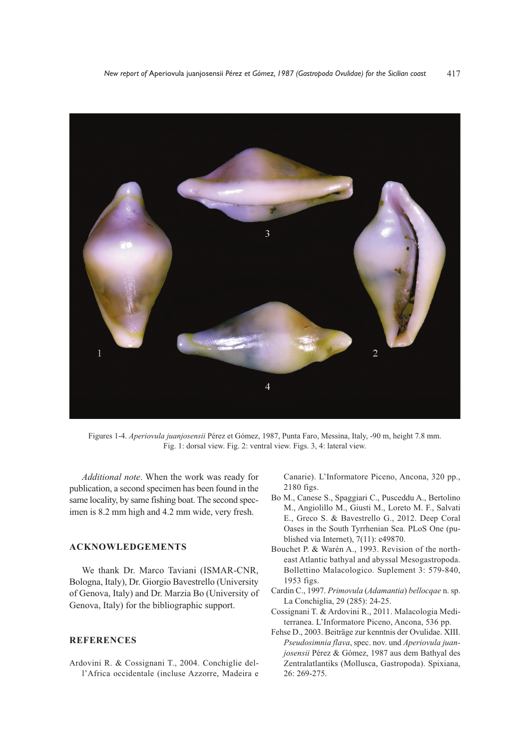

Figures 1-4. *Aperiovula juanjosensii* Pérez et Gómez, 1987, Punta Faro, Messina, Italy, -90 m, height 7.8 mm. Fig. 1: dorsal view. Fig. 2: ventral view. Figs. 3, 4: lateral view.

*Additional note*. When the work was ready for publication, a second specimen has been found in the same locality, by same fishing boat. The second specimen is 8.2 mm high and 4.2 mm wide, very fresh.

# **ACKNOWLEDGEMENTS**

We thank Dr. Marco Taviani (ISMAR-CNR, Bologna, Italy), Dr. Giorgio Bavestrello (University of Genova, Italy) and Dr. Marzia Bo (University of Genova, Italy) for the bibliographic support.

## **REFERENCES**

Ardovini R. & Cossignani T., 2004. Conchiglie dell'Africa occidentale (incluse Azzorre, Madeira e

Canarie). L'Informatore Piceno, Ancona, 320 pp., 2180 figs.

- Bo M., Canese S., Spaggiari C., Pusceddu A., Bertolino M., Angiolillo M., Giusti M., Loreto M. F., Salvati E., Greco S. & Bavestrello G., 2012. Deep Coral Oases in the South Tyrrhenian Sea. PLoS One (published via Internet), 7(11): e49870.
- Bouchet P. & Warén A., 1993. Revision of the northeast Atlantic bathyal and abyssal Mesogastropoda. Bollettino Malacologico. Suplement 3: 579-840, 1953 figs.
- Cardin C., 1997. *Primovula* (*Adamantia*) *bellocqae* n. sp. La Conchiglia, 29 (285): 24-25.
- Cossignani T. & Ardovini R., 2011. Malacologia Mediterranea. L'Informatore Piceno, Ancona, 536 pp.
- Fehse D., 2003. Beiträge zur kenntnis der Ovulidae. XIII. *Pseudosimnia flava*, spec. nov. und *Aperiovula juanjosensii* Pérez & Gómez, 1987 aus dem Bathyal des Zentralatlantiks (Mollusca, Gastropoda). Spixiana, 26: 269-275.